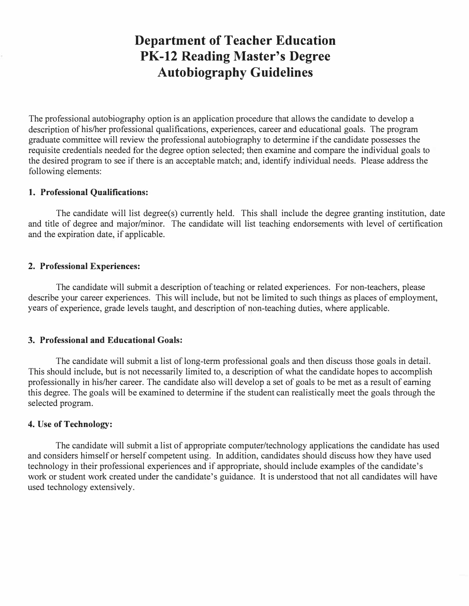# **Department of Teacher Education PK-12 Reading Master's Degree Autobiography Guidelines**

The professional autobiography option is an application procedure that allows the candidate to develop a description of his/her professional qualifications, experiences, career and educational goals. The program graduate committee will review the professional autobiography to determine if the candidate possesses the requisite credentials needed for the degree option selected; then examine and compare the individual goals to the desired program to see if there is an acceptable match; and, identify individual needs. Please address the following elements:

#### **1. Professional Qualifications:**

The candidate will list degree(s) currently held. This shall include the degree granting institution, date and title of degree and major/minor. The candidate will list teaching endorsements with level of certification and the expiration date, if applicable.

#### **2. Professional Experiences:**

The candidate will submit a description of teaching or related experiences. For non-teachers, please describe your career experiences. This will include, but not be limited to such things as places of employment, years of experience, grade levels taught, and description of non-teaching duties, where applicable.

### **3. Professional and Educational Goals:**

The candidate will submit a list of long-term professional goals and then discuss those goals in detail. This should include, but is not necessarily limited to, a description of what the candidate hopes to accomplish professionally in his/her career. The candidate also will develop a set of goals to be met as a result of earning this degree. The goals will be examined to determine if the student can realistically meet the goals through the selected program.

### **4. Use of Technology:**

The candidate will submit a list of appropriate computer/technology applications the candidate has used and considers himself or herself competent using. In addition, candidates should discuss how they have used technology in their professional experiences and if appropriate, should include examples of the candidate's work or student work created under the candidate's guidance. It is understood that not all candidates will have used technology extensively.